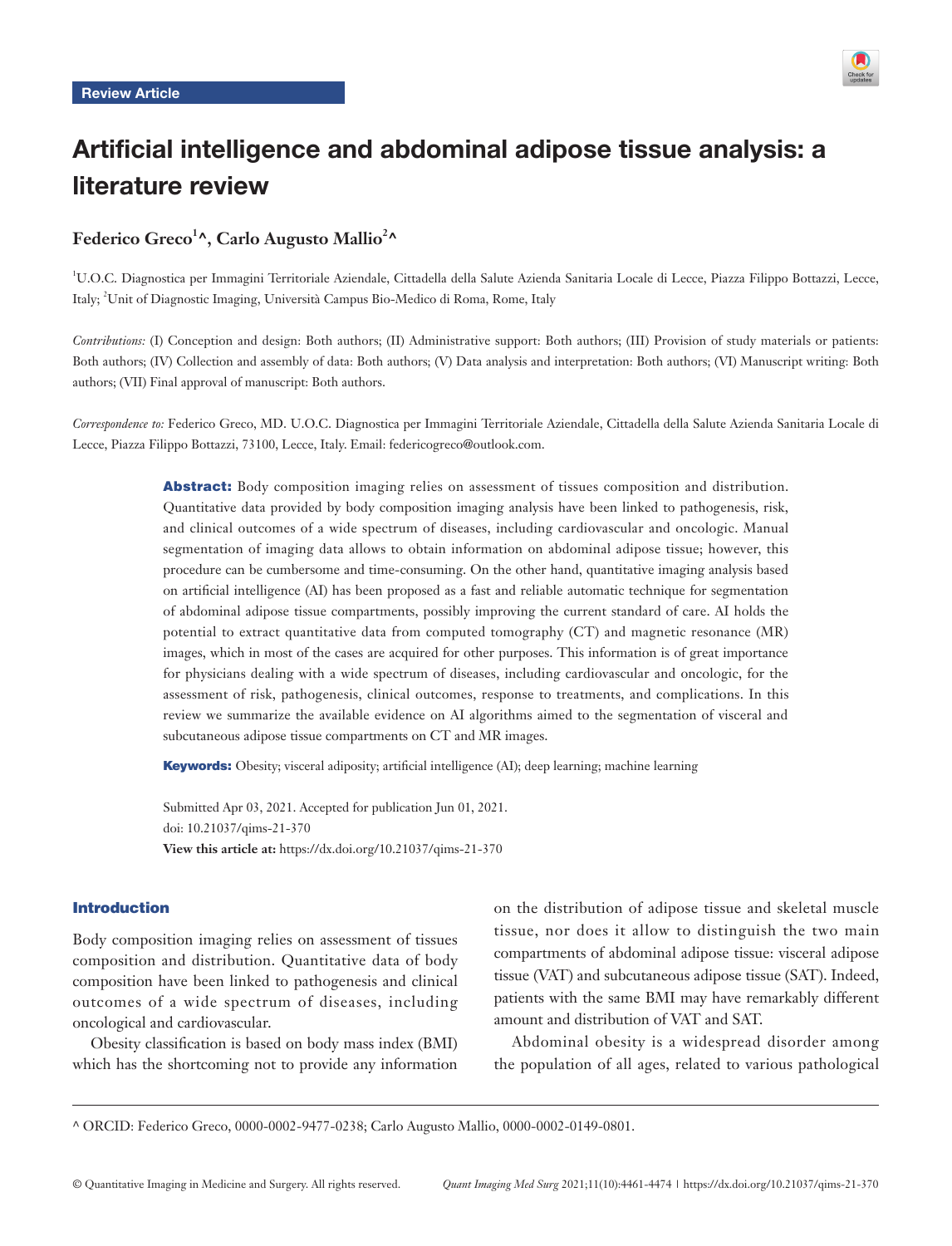

# Artificial intelligence and abdominal adipose tissue analysis: a literature review

# Federico Greco<sup>1</sup>^, Carlo Augusto Mallio<sup>2</sup>^

<sup>1</sup>U.O.C. Diagnostica per Immagini Territoriale Aziendale, Cittadella della Salute Azienda Sanitaria Locale di Lecce, Piazza Filippo Bottazzi, Lecce, Italy; <sup>2</sup>Unit of Diagnostic Imaging, Università Campus Bio-Medico di Roma, Rome, Italy

*Contributions:* (I) Conception and design: Both authors; (II) Administrative support: Both authors; (III) Provision of study materials or patients: Both authors; (IV) Collection and assembly of data: Both authors; (V) Data analysis and interpretation: Both authors; (VI) Manuscript writing: Both authors; (VII) Final approval of manuscript: Both authors.

*Correspondence to:* Federico Greco, MD. U.O.C. Diagnostica per Immagini Territoriale Aziendale, Cittadella della Salute Azienda Sanitaria Locale di Lecce, Piazza Filippo Bottazzi, 73100, Lecce, Italy. Email: federicogreco@outlook.com.

> Abstract: Body composition imaging relies on assessment of tissues composition and distribution. Quantitative data provided by body composition imaging analysis have been linked to pathogenesis, risk, and clinical outcomes of a wide spectrum of diseases, including cardiovascular and oncologic. Manual segmentation of imaging data allows to obtain information on abdominal adipose tissue; however, this procedure can be cumbersome and time-consuming. On the other hand, quantitative imaging analysis based on artificial intelligence (AI) has been proposed as a fast and reliable automatic technique for segmentation of abdominal adipose tissue compartments, possibly improving the current standard of care. AI holds the potential to extract quantitative data from computed tomography (CT) and magnetic resonance (MR) images, which in most of the cases are acquired for other purposes. This information is of great importance for physicians dealing with a wide spectrum of diseases, including cardiovascular and oncologic, for the assessment of risk, pathogenesis, clinical outcomes, response to treatments, and complications. In this review we summarize the available evidence on AI algorithms aimed to the segmentation of visceral and subcutaneous adipose tissue compartments on CT and MR images.

Keywords: Obesity; visceral adiposity; artificial intelligence (AI); deep learning; machine learning

Submitted Apr 03, 2021. Accepted for publication Jun 01, 2021. doi: 10.21037/qims-21-370 **View this article at:** https://dx.doi.org/10.21037/qims-21-370

### Introduction

Body composition imaging relies on assessment of tissues composition and distribution. Quantitative data of body composition have been linked to pathogenesis and clinical outcomes of a wide spectrum of diseases, including oncological and cardiovascular.

Obesity classification is based on body mass index (BMI) which has the shortcoming not to provide any information on the distribution of adipose tissue and skeletal muscle tissue, nor does it allow to distinguish the two main compartments of abdominal adipose tissue: visceral adipose tissue (VAT) and subcutaneous adipose tissue (SAT). Indeed, patients with the same BMI may have remarkably different amount and distribution of VAT and SAT.

Abdominal obesity is a widespread disorder among the population of all ages, related to various pathological

<sup>^</sup> ORCID: Federico Greco, 0000-0002-9477-0238; Carlo Augusto Mallio, 0000-0002-0149-0801.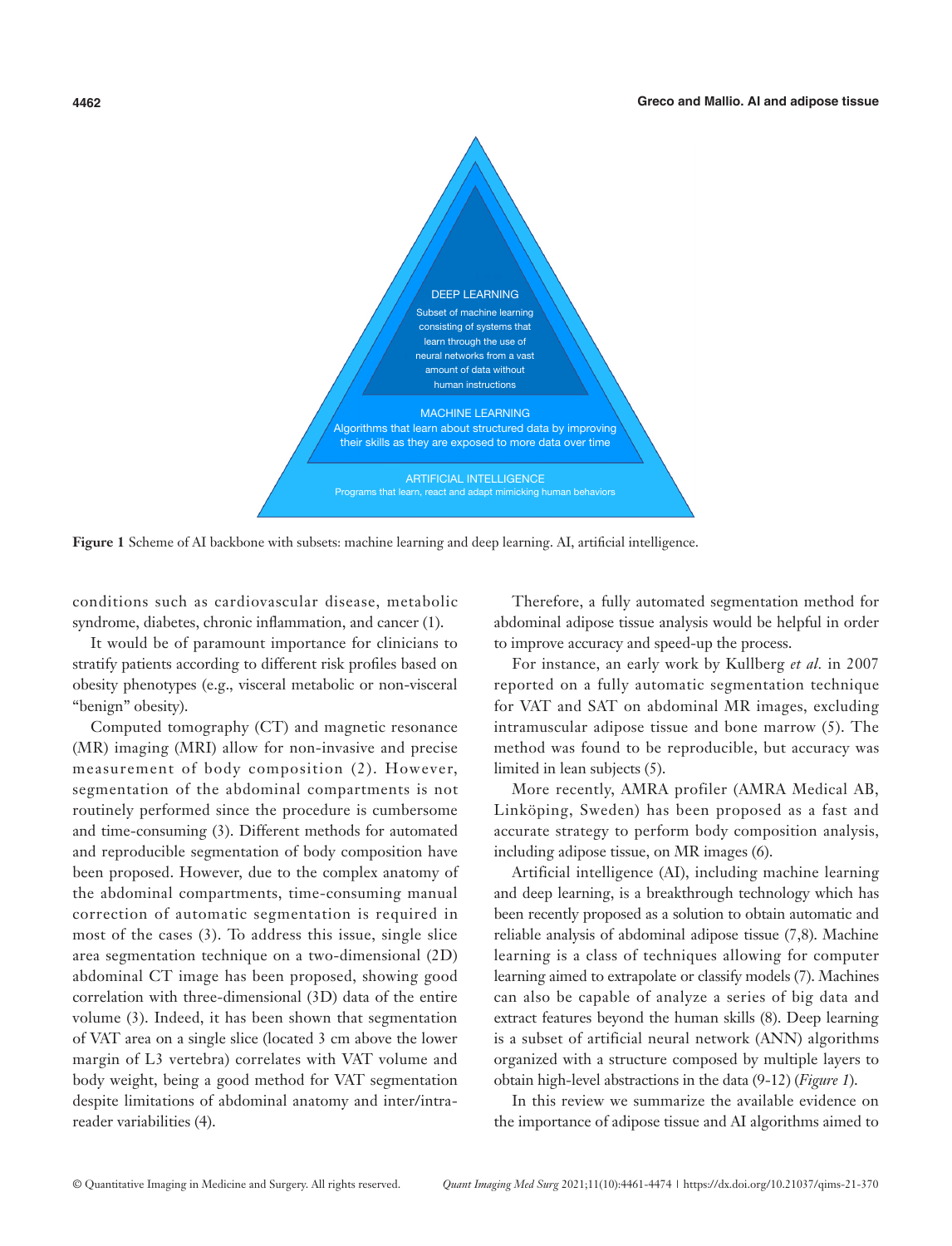

**Figure 1** Scheme of AI backbone with subsets: machine learning and deep learning. AI, artificial intelligence.

conditions such as cardiovascular disease, metabolic syndrome, diabetes, chronic inflammation, and cancer (1).

It would be of paramount importance for clinicians to stratify patients according to different risk profiles based on obesity phenotypes (e.g., visceral metabolic or non-visceral "benign" obesity).

Computed tomography (CT) and magnetic resonance (MR) imaging (MRI) allow for non-invasive and precise measurement of body composition (2). However, segmentation of the abdominal compartments is not routinely performed since the procedure is cumbersome and time-consuming (3). Different methods for automated and reproducible segmentation of body composition have been proposed. However, due to the complex anatomy of the abdominal compartments, time-consuming manual correction of automatic segmentation is required in most of the cases (3). To address this issue, single slice area segmentation technique on a two-dimensional (2D) abdominal CT image has been proposed, showing good correlation with three-dimensional (3D) data of the entire volume (3). Indeed, it has been shown that segmentation of VAT area on a single slice (located 3 cm above the lower margin of L3 vertebra) correlates with VAT volume and body weight, being a good method for VAT segmentation despite limitations of abdominal anatomy and inter/intrareader variabilities (4).

Therefore, a fully automated segmentation method for abdominal adipose tissue analysis would be helpful in order to improve accuracy and speed-up the process.

For instance, an early work by Kullberg *et al.* in 2007 reported on a fully automatic segmentation technique for VAT and SAT on abdominal MR images, excluding intramuscular adipose tissue and bone marrow (5). The method was found to be reproducible, but accuracy was limited in lean subjects (5).

More recently, AMRA profiler (AMRA Medical AB, Linköping, Sweden) has been proposed as a fast and accurate strategy to perform body composition analysis, including adipose tissue, on MR images (6).

Artificial intelligence (AI), including machine learning and deep learning, is a breakthrough technology which has been recently proposed as a solution to obtain automatic and reliable analysis of abdominal adipose tissue (7,8). Machine learning is a class of techniques allowing for computer learning aimed to extrapolate or classify models (7). Machines can also be capable of analyze a series of big data and extract features beyond the human skills (8). Deep learning is a subset of artificial neural network (ANN) algorithms organized with a structure composed by multiple layers to obtain high-level abstractions in the data (9-12) (*Figure 1*).

In this review we summarize the available evidence on the importance of adipose tissue and AI algorithms aimed to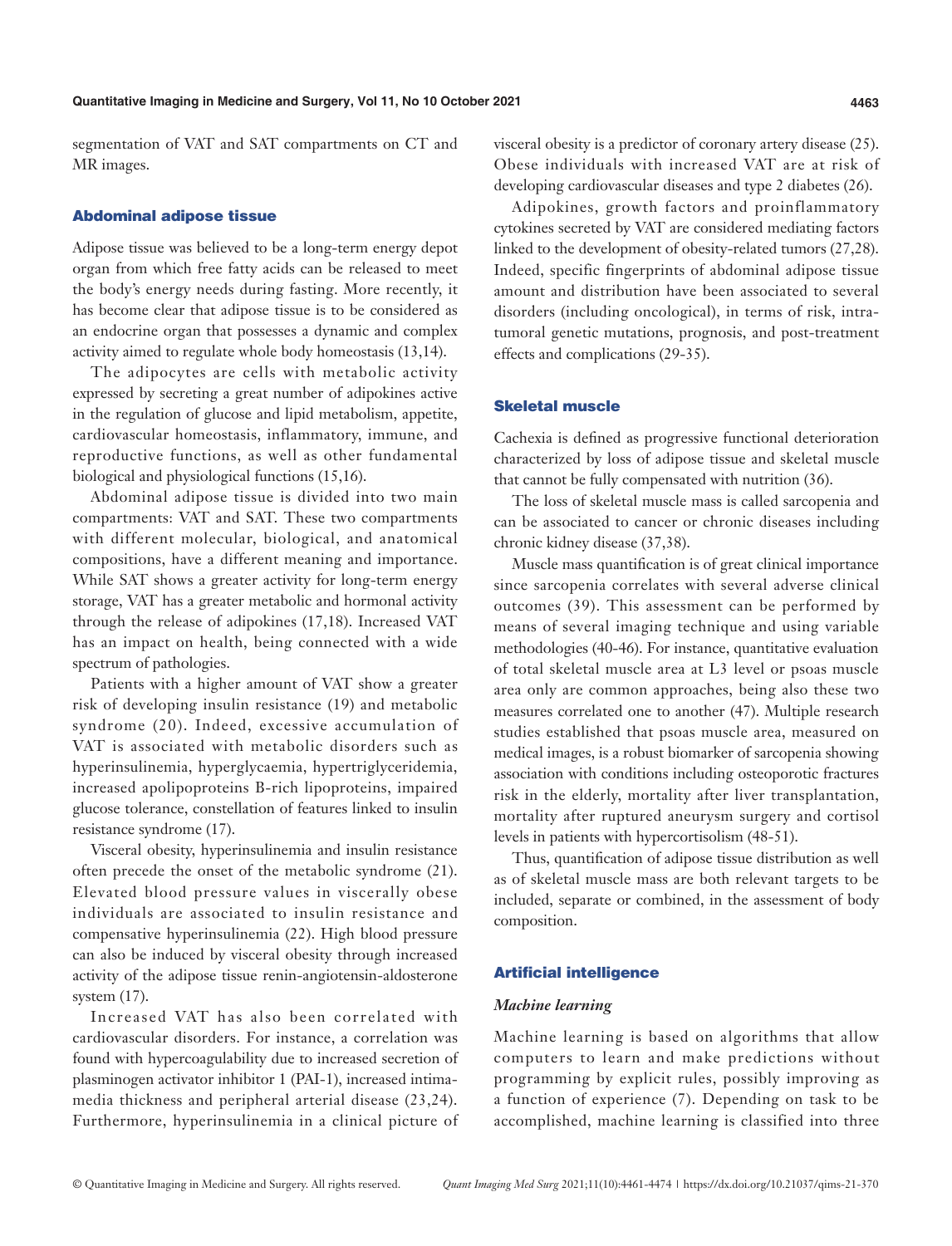segmentation of VAT and SAT compartments on CT and MR images.

#### Abdominal adipose tissue

Adipose tissue was believed to be a long-term energy depot organ from which free fatty acids can be released to meet the body's energy needs during fasting. More recently, it has become clear that adipose tissue is to be considered as an endocrine organ that possesses a dynamic and complex activity aimed to regulate whole body homeostasis (13,14).

The adipocytes are cells with metabolic activity expressed by secreting a great number of adipokines active in the regulation of glucose and lipid metabolism, appetite, cardiovascular homeostasis, inflammatory, immune, and reproductive functions, as well as other fundamental biological and physiological functions (15,16).

Abdominal adipose tissue is divided into two main compartments: VAT and SAT. These two compartments with different molecular, biological, and anatomical compositions, have a different meaning and importance. While SAT shows a greater activity for long-term energy storage, VAT has a greater metabolic and hormonal activity through the release of adipokines (17,18). Increased VAT has an impact on health, being connected with a wide spectrum of pathologies.

Patients with a higher amount of VAT show a greater risk of developing insulin resistance (19) and metabolic syndrome (20). Indeed, excessive accumulation of VAT is associated with metabolic disorders such as hyperinsulinemia, hyperglycaemia, hypertriglyceridemia, increased apolipoproteins B-rich lipoproteins, impaired glucose tolerance, constellation of features linked to insulin resistance syndrome (17).

Visceral obesity, hyperinsulinemia and insulin resistance often precede the onset of the metabolic syndrome (21). Elevated blood pressure values in viscerally obese individuals are associated to insulin resistance and compensative hyperinsulinemia (22). High blood pressure can also be induced by visceral obesity through increased activity of the adipose tissue renin-angiotensin-aldosterone system (17).

Increased VAT has also been correlated with cardiovascular disorders. For instance, a correlation was found with hypercoagulability due to increased secretion of plasminogen activator inhibitor 1 (PAI-1), increased intimamedia thickness and peripheral arterial disease (23,24). Furthermore, hyperinsulinemia in a clinical picture of visceral obesity is a predictor of coronary artery disease (25). Obese individuals with increased VAT are at risk of developing cardiovascular diseases and type 2 diabetes (26).

Adipokines, growth factors and proinflammatory cytokines secreted by VAT are considered mediating factors linked to the development of obesity-related tumors (27,28). Indeed, specific fingerprints of abdominal adipose tissue amount and distribution have been associated to several disorders (including oncological), in terms of risk, intratumoral genetic mutations, prognosis, and post-treatment effects and complications (29-35).

### Skeletal muscle

Cachexia is defined as progressive functional deterioration characterized by loss of adipose tissue and skeletal muscle that cannot be fully compensated with nutrition (36).

The loss of skeletal muscle mass is called sarcopenia and can be associated to cancer or chronic diseases including chronic kidney disease (37,38).

Muscle mass quantification is of great clinical importance since sarcopenia correlates with several adverse clinical outcomes (39). This assessment can be performed by means of several imaging technique and using variable methodologies (40-46). For instance, quantitative evaluation of total skeletal muscle area at L3 level or psoas muscle area only are common approaches, being also these two measures correlated one to another (47). Multiple research studies established that psoas muscle area, measured on medical images, is a robust biomarker of sarcopenia showing association with conditions including osteoporotic fractures risk in the elderly, mortality after liver transplantation, mortality after ruptured aneurysm surgery and cortisol levels in patients with hypercortisolism (48-51).

Thus, quantification of adipose tissue distribution as well as of skeletal muscle mass are both relevant targets to be included, separate or combined, in the assessment of body composition.

#### Artificial intelligence

### *Machine learning*

Machine learning is based on algorithms that allow computers to learn and make predictions without programming by explicit rules, possibly improving as a function of experience (7). Depending on task to be accomplished, machine learning is classified into three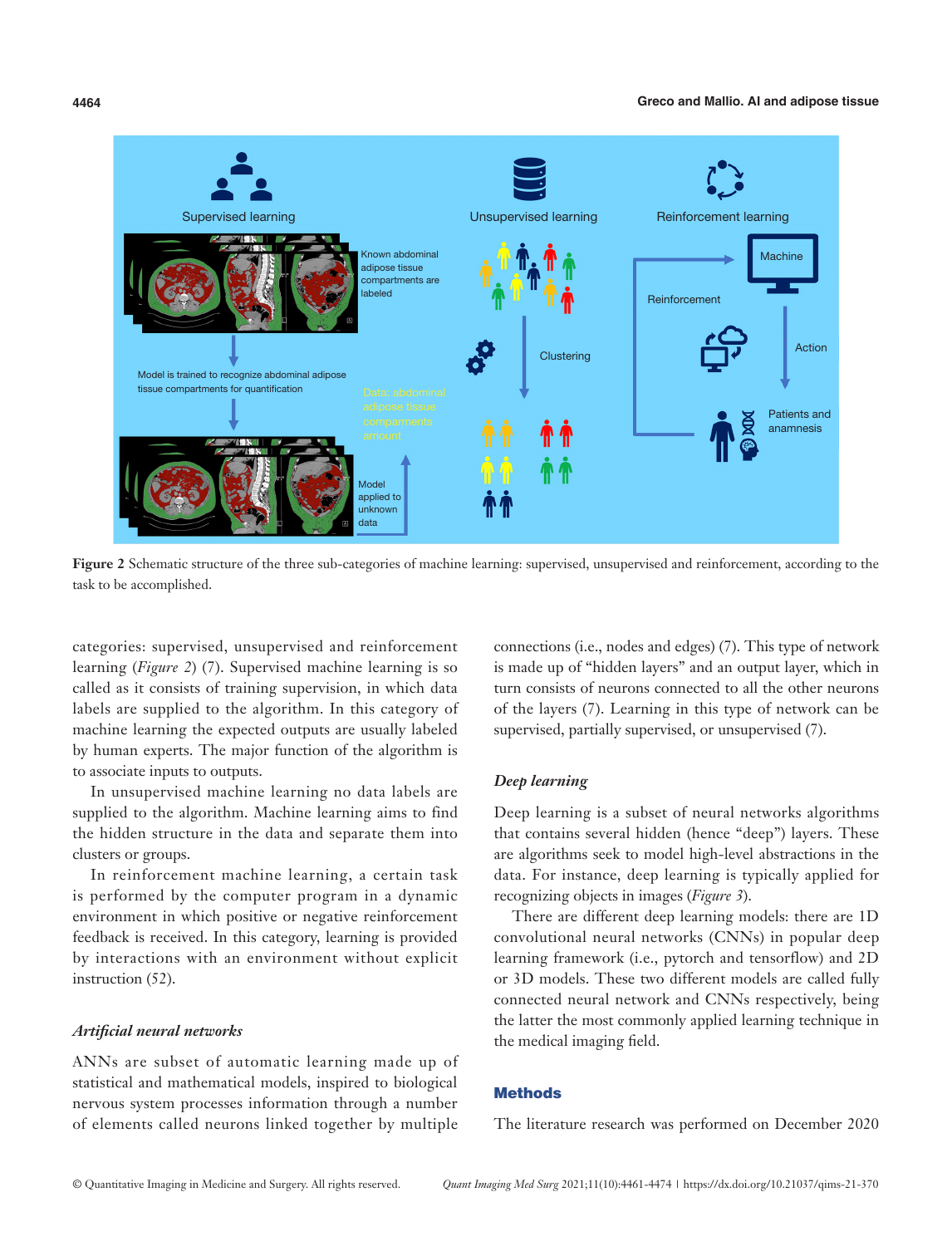

**Figure 2** Schematic structure of the three sub-categories of machine learning: supervised, unsupervised and reinforcement, according to the task to be accomplished.

categories: supervised, unsupervised and reinforcement learning (*Figure 2*) (7). Supervised machine learning is so called as it consists of training supervision, in which data labels are supplied to the algorithm. In this category of machine learning the expected outputs are usually labeled by human experts. The major function of the algorithm is to associate inputs to outputs.

In unsupervised machine learning no data labels are supplied to the algorithm. Machine learning aims to find the hidden structure in the data and separate them into clusters or groups.

In reinforcement machine learning, a certain task is performed by the computer program in a dynamic environment in which positive or negative reinforcement feedback is received. In this category, learning is provided by interactions with an environment without explicit instruction (52).

#### *Artificial neural networks*

ANNs are subset of automatic learning made up of statistical and mathematical models, inspired to biological nervous system processes information through a number of elements called neurons linked together by multiple

connections (i.e., nodes and edges) (7). This type of network is made up of "hidden layers" and an output layer, which in turn consists of neurons connected to all the other neurons of the layers (7). Learning in this type of network can be supervised, partially supervised, or unsupervised (7).

#### *Deep learning*

Deep learning is a subset of neural networks algorithms that contains several hidden (hence "deep") layers. These are algorithms seek to model high-level abstractions in the data. For instance, deep learning is typically applied for recognizing objects in images (*Figure 3*).

There are different deep learning models: there are 1D convolutional neural networks (CNNs) in popular deep learning framework (i.e., pytorch and tensorflow) and 2D or 3D models. These two different models are called fully connected neural network and CNNs respectively, being the latter the most commonly applied learning technique in the medical imaging field.

#### **Methods**

The literature research was performed on December 2020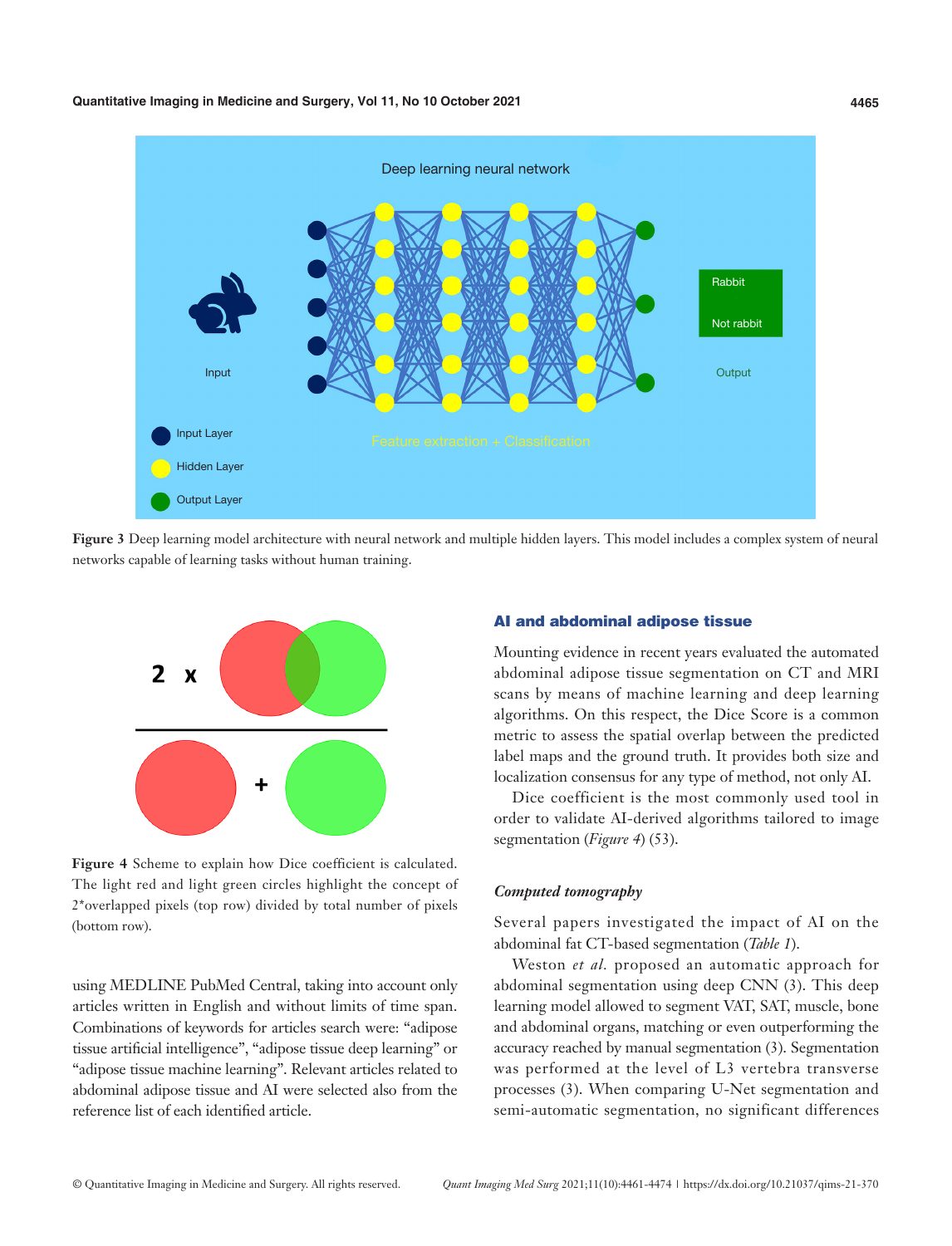

**Figure 3** Deep learning model architecture with neural network and multiple hidden layers. This model includes a complex system of neural networks capable of learning tasks without human training.



**Figure 4** Scheme to explain how Dice coefficient is calculated. The light red and light green circles highlight the concept of 2\*overlapped pixels (top row) divided by total number of pixels (bottom row).

using MEDLINE PubMed Central, taking into account only articles written in English and without limits of time span. Combinations of keywords for articles search were: "adipose tissue artificial intelligence", "adipose tissue deep learning" or "adipose tissue machine learning". Relevant articles related to abdominal adipose tissue and AI were selected also from the reference list of each identified article.

#### AI and abdominal adipose tissue

Mounting evidence in recent years evaluated the automated abdominal adipose tissue segmentation on CT and MRI scans by means of machine learning and deep learning algorithms. On this respect, the Dice Score is a common metric to assess the spatial overlap between the predicted label maps and the ground truth. It provides both size and localization consensus for any type of method, not only AI.

Dice coefficient is the most commonly used tool in order to validate AI-derived algorithms tailored to image segmentation (*Figure 4*) (53).

#### *Computed tomography*

Several papers investigated the impact of AI on the abdominal fat CT-based segmentation (*Table 1*).

Weston *et al.* proposed an automatic approach for abdominal segmentation using deep CNN (3). This deep learning model allowed to segment VAT, SAT, muscle, bone and abdominal organs, matching or even outperforming the accuracy reached by manual segmentation (3). Segmentation was performed at the level of L3 vertebra transverse processes (3). When comparing U-Net segmentation and semi-automatic segmentation, no significant differences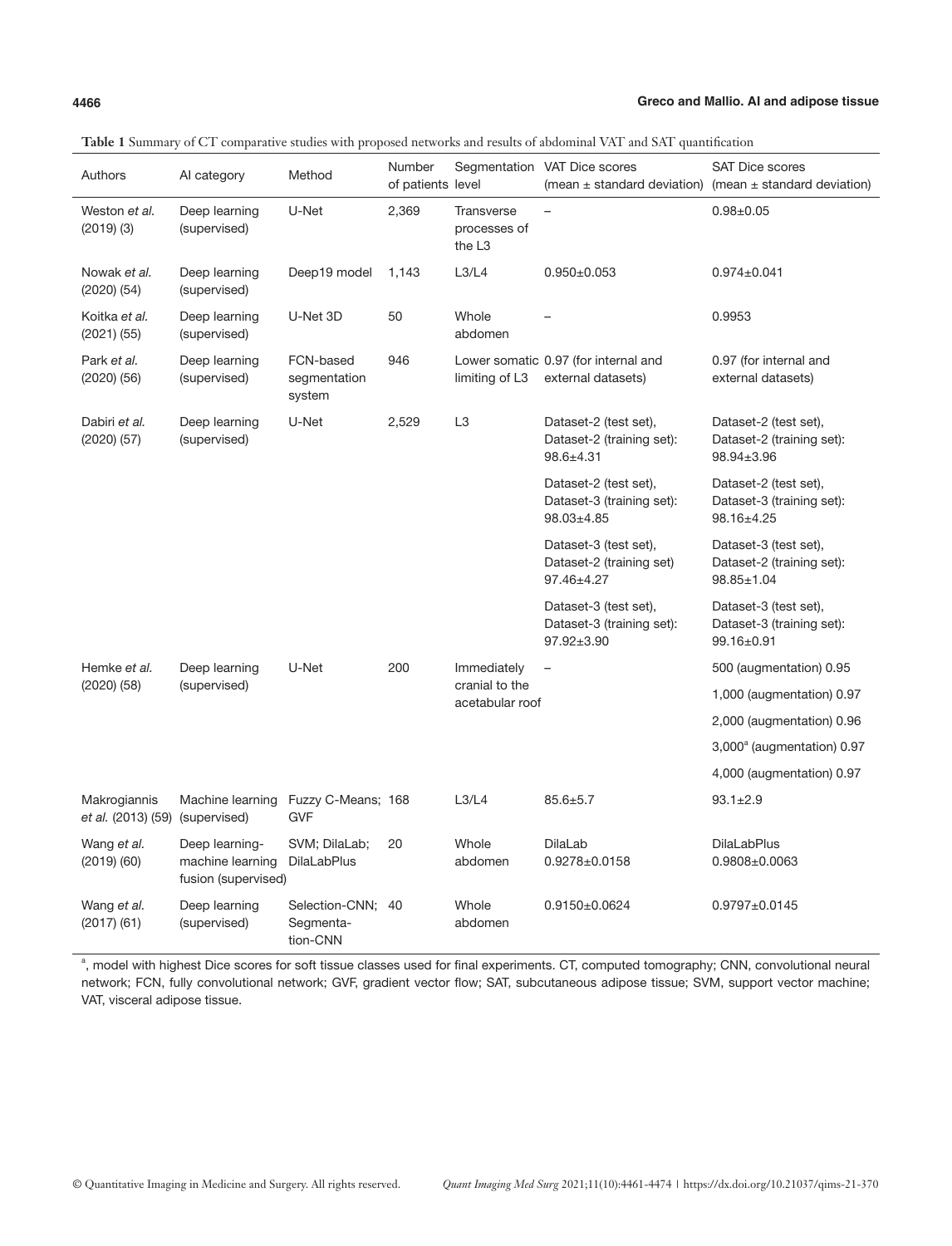| Authors                            | Al category                                               | Method                                     | Number<br>of patients level |                                                  | Segmentation VAT Dice scores<br>(mean $\pm$ standard deviation)        | <b>SAT Dice scores</b><br>(mean $\pm$ standard deviation)              |
|------------------------------------|-----------------------------------------------------------|--------------------------------------------|-----------------------------|--------------------------------------------------|------------------------------------------------------------------------|------------------------------------------------------------------------|
| Weston et al.<br>$(2019)$ $(3)$    | Deep learning<br>(supervised)                             | U-Net                                      | 2,369                       | <b>Transverse</b><br>processes of<br>the L3      |                                                                        | $0.98 + 0.05$                                                          |
| Nowak et al.<br>$(2020)$ $(54)$    | Deep learning<br>(supervised)                             | Deep19 model                               | 1,143                       | L3/L4                                            | $0.950 \pm 0.053$                                                      | $0.974 \pm 0.041$                                                      |
| Koitka et al.<br>$(2021)$ $(55)$   | Deep learning<br>(supervised)                             | U-Net 3D                                   | 50                          | Whole<br>abdomen                                 |                                                                        | 0.9953                                                                 |
| Park et al.<br>$(2020)$ $(56)$     | Deep learning<br>(supervised)                             | FCN-based<br>segmentation<br>system        | 946                         | limiting of L3                                   | Lower somatic 0.97 (for internal and<br>external datasets)             | 0.97 (for internal and<br>external datasets)                           |
| Dabiri et al.<br>$(2020)$ $(57)$   | Deep learning<br>(supervised)                             | U-Net                                      | 2,529                       | L <sub>3</sub>                                   | Dataset-2 (test set),<br>Dataset-2 (training set):<br>$98.6 + 4.31$    | Dataset-2 (test set),<br>Dataset-2 (training set):<br>98.94±3.96       |
|                                    |                                                           |                                            |                             |                                                  | Dataset-2 (test set),<br>Dataset-3 (training set):<br>$98.03 \pm 4.85$ | Dataset-2 (test set),<br>Dataset-3 (training set):<br>98.16±4.25       |
|                                    |                                                           |                                            |                             |                                                  | Dataset-3 (test set),<br>Dataset-2 (training set)<br>97.46±4.27        | Dataset-3 (test set),<br>Dataset-2 (training set):<br>98.85±1.04       |
|                                    |                                                           |                                            |                             |                                                  | Dataset-3 (test set),<br>Dataset-3 (training set):<br>97.92±3.90       | Dataset-3 (test set),<br>Dataset-3 (training set):<br>$99.16 \pm 0.91$ |
| Hemke et al.                       | Deep learning<br>(supervised)                             | U-Net                                      | 200                         | Immediately<br>cranial to the<br>acetabular roof | $\overline{\phantom{0}}$                                               | 500 (augmentation) 0.95                                                |
| $(2020)$ $(58)$                    |                                                           |                                            |                             |                                                  |                                                                        | 1,000 (augmentation) 0.97                                              |
|                                    |                                                           |                                            |                             |                                                  |                                                                        | 2,000 (augmentation) 0.96                                              |
|                                    |                                                           |                                            |                             |                                                  |                                                                        | 3,000 <sup>a</sup> (augmentation) 0.97                                 |
|                                    |                                                           |                                            |                             |                                                  |                                                                        | 4,000 (augmentation) 0.97                                              |
| Makrogiannis<br>et al. (2013) (59) | Machine learning Fuzzy C-Means; 168<br>(supervised)       | <b>GVF</b>                                 |                             | L3/L4                                            | $85.6 + 5.7$                                                           | $93.1 \pm 2.9$                                                         |
| Wang et al.<br>$(2019)$ $(60)$     | Deep learning-<br>machine learning<br>fusion (supervised) | SVM; DilaLab;<br><b>DilaLabPlus</b>        | 20                          | Whole<br>abdomen                                 | <b>DilaLab</b><br>$0.9278 \pm 0.0158$                                  | <b>DilaLabPlus</b><br>0.9808±0.0063                                    |
| Wang et al.<br>$(2017)$ $(61)$     | Deep learning<br>(supervised)                             | Selection-CNN; 40<br>Segmenta-<br>tion-CNN |                             | Whole<br>abdomen                                 | $0.9150\pm0.0624$                                                      | $0.9797 + 0.0145$                                                      |

**Table 1** Summary of CT comparative studies with proposed networks and results of abdominal VAT and SAT quantification

<sup>a</sup>, model with highest Dice scores for soft tissue classes used for final experiments. CT, computed tomography; CNN, convolutional neural network; FCN, fully convolutional network; GVF, gradient vector flow; SAT, subcutaneous adipose tissue; SVM, support vector machine; VAT, visceral adipose tissue.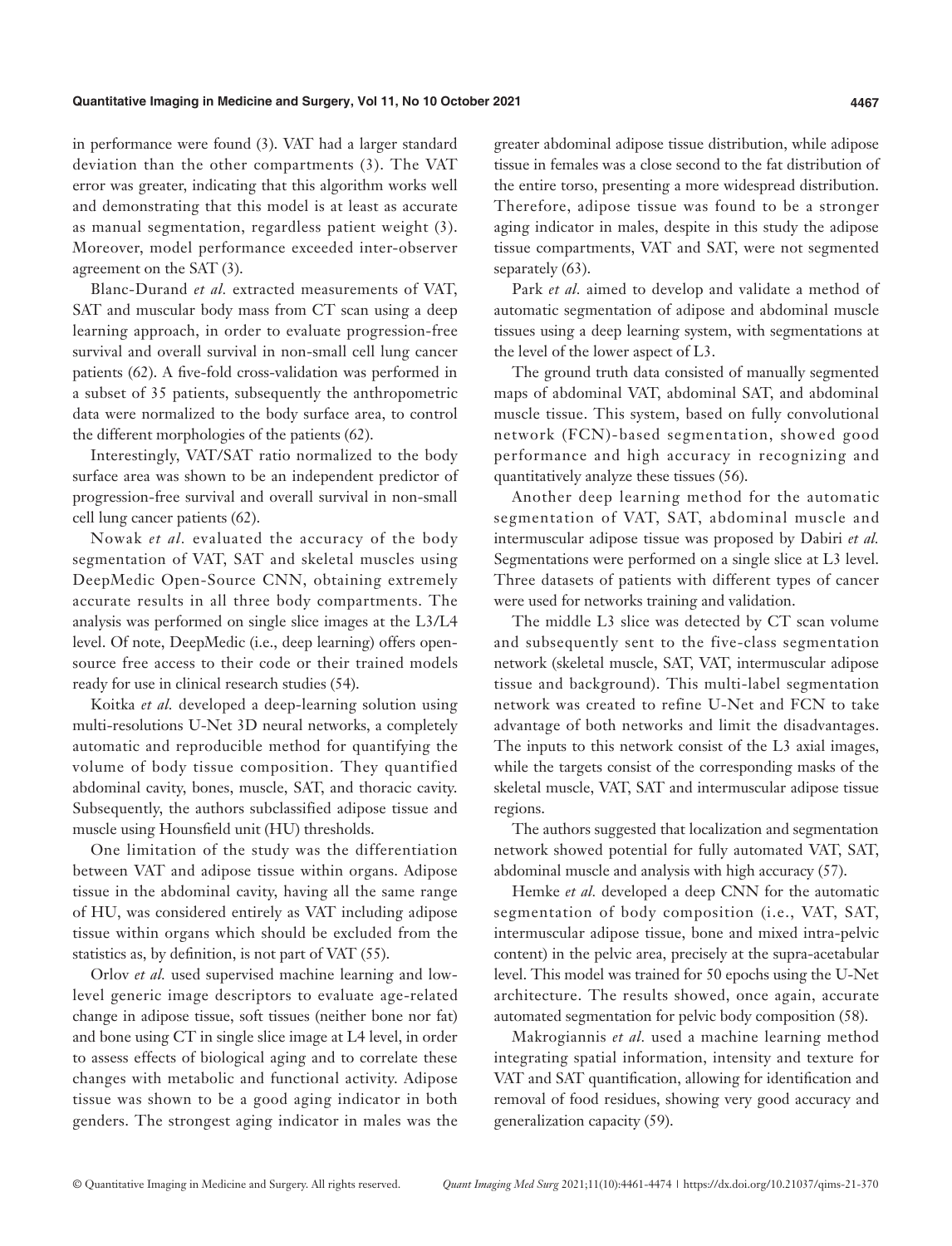in performance were found (3). VAT had a larger standard deviation than the other compartments (3). The VAT error was greater, indicating that this algorithm works well and demonstrating that this model is at least as accurate as manual segmentation, regardless patient weight (3). Moreover, model performance exceeded inter-observer agreement on the SAT (3).

Blanc-Durand *et al.* extracted measurements of VAT, SAT and muscular body mass from CT scan using a deep learning approach, in order to evaluate progression-free survival and overall survival in non-small cell lung cancer patients (62). A five-fold cross-validation was performed in a subset of 35 patients, subsequently the anthropometric data were normalized to the body surface area, to control the different morphologies of the patients (62).

Interestingly, VAT/SAT ratio normalized to the body surface area was shown to be an independent predictor of progression-free survival and overall survival in non-small cell lung cancer patients (62).

Nowak *et al.* evaluated the accuracy of the body segmentation of VAT, SAT and skeletal muscles using DeepMedic Open-Source CNN, obtaining extremely accurate results in all three body compartments. The analysis was performed on single slice images at the L3/L4 level. Of note, DeepMedic (i.e., deep learning) offers opensource free access to their code or their trained models ready for use in clinical research studies (54).

Koitka *et al.* developed a deep-learning solution using multi-resolutions U-Net 3D neural networks, a completely automatic and reproducible method for quantifying the volume of body tissue composition. They quantified abdominal cavity, bones, muscle, SAT, and thoracic cavity. Subsequently, the authors subclassified adipose tissue and muscle using Hounsfield unit (HU) thresholds.

One limitation of the study was the differentiation between VAT and adipose tissue within organs. Adipose tissue in the abdominal cavity, having all the same range of HU, was considered entirely as VAT including adipose tissue within organs which should be excluded from the statistics as, by definition, is not part of VAT (55).

Orlov *et al.* used supervised machine learning and lowlevel generic image descriptors to evaluate age-related change in adipose tissue, soft tissues (neither bone nor fat) and bone using CT in single slice image at L4 level, in order to assess effects of biological aging and to correlate these changes with metabolic and functional activity. Adipose tissue was shown to be a good aging indicator in both genders. The strongest aging indicator in males was the greater abdominal adipose tissue distribution, while adipose tissue in females was a close second to the fat distribution of the entire torso, presenting a more widespread distribution. Therefore, adipose tissue was found to be a stronger aging indicator in males, despite in this study the adipose tissue compartments, VAT and SAT, were not segmented separately (63).

Park *et al.* aimed to develop and validate a method of automatic segmentation of adipose and abdominal muscle tissues using a deep learning system, with segmentations at the level of the lower aspect of L3.

The ground truth data consisted of manually segmented maps of abdominal VAT, abdominal SAT, and abdominal muscle tissue. This system, based on fully convolutional network (FCN)-based segmentation, showed good performance and high accuracy in recognizing and quantitatively analyze these tissues (56).

Another deep learning method for the automatic segmentation of VAT, SAT, abdominal muscle and intermuscular adipose tissue was proposed by Dabiri *et al.* Segmentations were performed on a single slice at L3 level. Three datasets of patients with different types of cancer were used for networks training and validation.

The middle L3 slice was detected by CT scan volume and subsequently sent to the five-class segmentation network (skeletal muscle, SAT, VAT, intermuscular adipose tissue and background). This multi-label segmentation network was created to refine U-Net and FCN to take advantage of both networks and limit the disadvantages. The inputs to this network consist of the L3 axial images, while the targets consist of the corresponding masks of the skeletal muscle, VAT, SAT and intermuscular adipose tissue regions.

The authors suggested that localization and segmentation network showed potential for fully automated VAT, SAT, abdominal muscle and analysis with high accuracy (57).

Hemke *et al.* developed a deep CNN for the automatic segmentation of body composition (i.e., VAT, SAT, intermuscular adipose tissue, bone and mixed intra-pelvic content) in the pelvic area, precisely at the supra-acetabular level. This model was trained for 50 epochs using the U-Net architecture. The results showed, once again, accurate automated segmentation for pelvic body composition (58).

Makrogiannis *et al.* used a machine learning method integrating spatial information, intensity and texture for VAT and SAT quantification, allowing for identification and removal of food residues, showing very good accuracy and generalization capacity (59).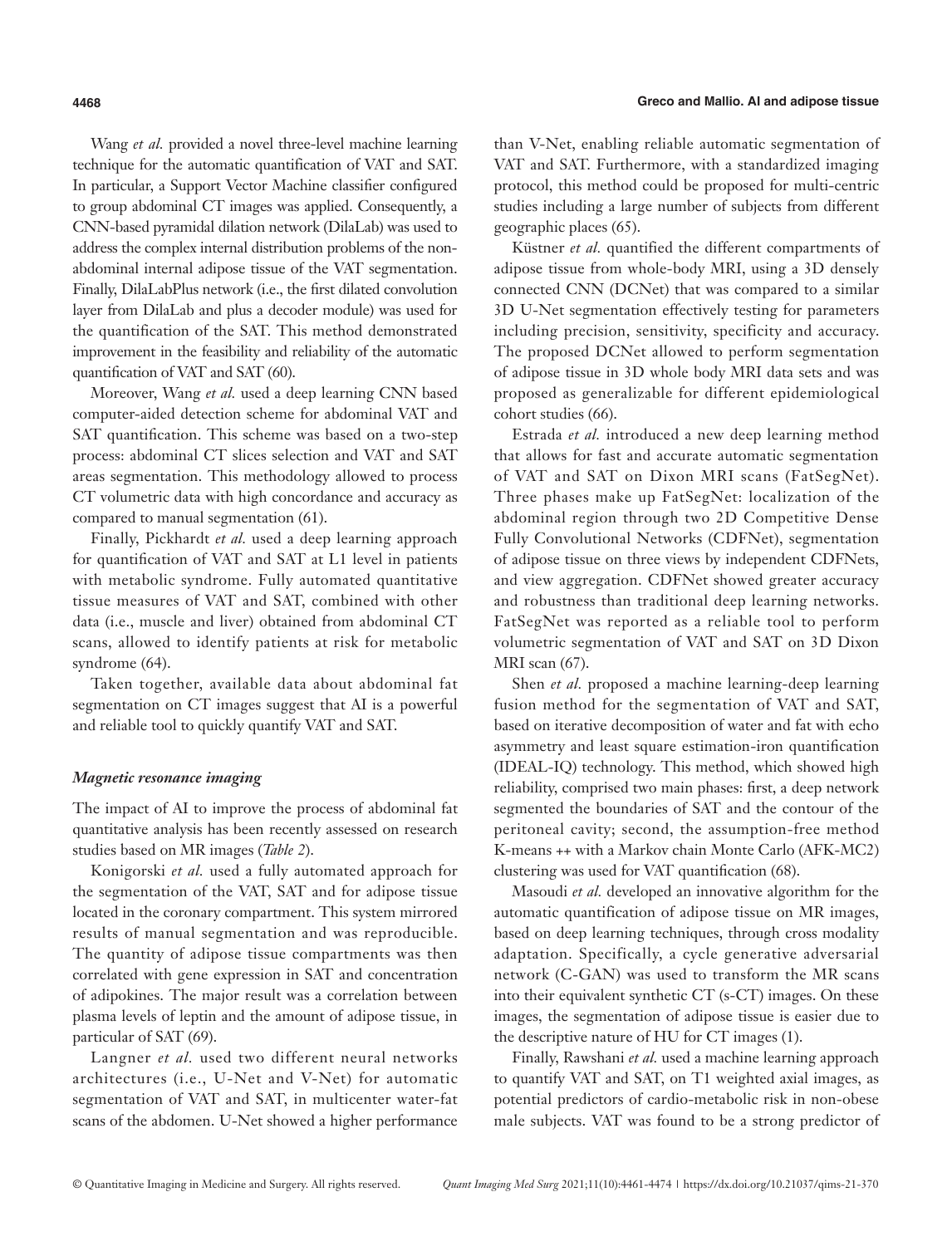Wang *et al.* provided a novel three-level machine learning technique for the automatic quantification of VAT and SAT. In particular, a Support Vector Machine classifier configured to group abdominal CT images was applied. Consequently, a CNN-based pyramidal dilation network (DilaLab) was used to address the complex internal distribution problems of the nonabdominal internal adipose tissue of the VAT segmentation. Finally, DilaLabPlus network (i.e., the first dilated convolution layer from DilaLab and plus a decoder module) was used for the quantification of the SAT. This method demonstrated improvement in the feasibility and reliability of the automatic quantification of VAT and SAT (60).

Moreover, Wang *et al.* used a deep learning CNN based computer-aided detection scheme for abdominal VAT and SAT quantification. This scheme was based on a two-step process: abdominal CT slices selection and VAT and SAT areas segmentation. This methodology allowed to process CT volumetric data with high concordance and accuracy as compared to manual segmentation (61).

Finally, Pickhardt *et al.* used a deep learning approach for quantification of VAT and SAT at L1 level in patients with metabolic syndrome. Fully automated quantitative tissue measures of VAT and SAT, combined with other data (i.e., muscle and liver) obtained from abdominal CT scans, allowed to identify patients at risk for metabolic syndrome (64).

Taken together, available data about abdominal fat segmentation on CT images suggest that AI is a powerful and reliable tool to quickly quantify VAT and SAT.

#### *Magnetic resonance imaging*

The impact of AI to improve the process of abdominal fat quantitative analysis has been recently assessed on research studies based on MR images (*Table 2*).

Konigorski *et al.* used a fully automated approach for the segmentation of the VAT, SAT and for adipose tissue located in the coronary compartment. This system mirrored results of manual segmentation and was reproducible. The quantity of adipose tissue compartments was then correlated with gene expression in SAT and concentration of adipokines. The major result was a correlation between plasma levels of leptin and the amount of adipose tissue, in particular of SAT (69).

Langner *et al.* used two different neural networks architectures (i.e., U-Net and V-Net) for automatic segmentation of VAT and SAT, in multicenter water-fat scans of the abdomen. U-Net showed a higher performance

than V-Net, enabling reliable automatic segmentation of VAT and SAT. Furthermore, with a standardized imaging protocol, this method could be proposed for multi-centric studies including a large number of subjects from different geographic places (65).

Küstner *et al.* quantified the different compartments of adipose tissue from whole-body MRI, using a 3D densely connected CNN (DCNet) that was compared to a similar 3D U-Net segmentation effectively testing for parameters including precision, sensitivity, specificity and accuracy. The proposed DCNet allowed to perform segmentation of adipose tissue in 3D whole body MRI data sets and was proposed as generalizable for different epidemiological cohort studies (66).

Estrada *et al.* introduced a new deep learning method that allows for fast and accurate automatic segmentation of VAT and SAT on Dixon MRI scans (FatSegNet). Three phases make up FatSegNet: localization of the abdominal region through two 2D Competitive Dense Fully Convolutional Networks (CDFNet), segmentation of adipose tissue on three views by independent CDFNets, and view aggregation. CDFNet showed greater accuracy and robustness than traditional deep learning networks. FatSegNet was reported as a reliable tool to perform volumetric segmentation of VAT and SAT on 3D Dixon MRI scan (67).

Shen *et al.* proposed a machine learning-deep learning fusion method for the segmentation of VAT and SAT, based on iterative decomposition of water and fat with echo asymmetry and least square estimation-iron quantification (IDEAL-IQ) technology. This method, which showed high reliability, comprised two main phases: first, a deep network segmented the boundaries of SAT and the contour of the peritoneal cavity; second, the assumption-free method K-means ++ with a Markov chain Monte Carlo (AFK-MC2) clustering was used for VAT quantification (68).

Masoudi *et al.* developed an innovative algorithm for the automatic quantification of adipose tissue on MR images, based on deep learning techniques, through cross modality adaptation. Specifically, a cycle generative adversarial network (C-GAN) was used to transform the MR scans into their equivalent synthetic CT (s-CT) images. On these images, the segmentation of adipose tissue is easier due to the descriptive nature of HU for CT images (1).

Finally, Rawshani *et al.* used a machine learning approach to quantify VAT and SAT, on T1 weighted axial images, as potential predictors of cardio-metabolic risk in non-obese male subjects. VAT was found to be a strong predictor of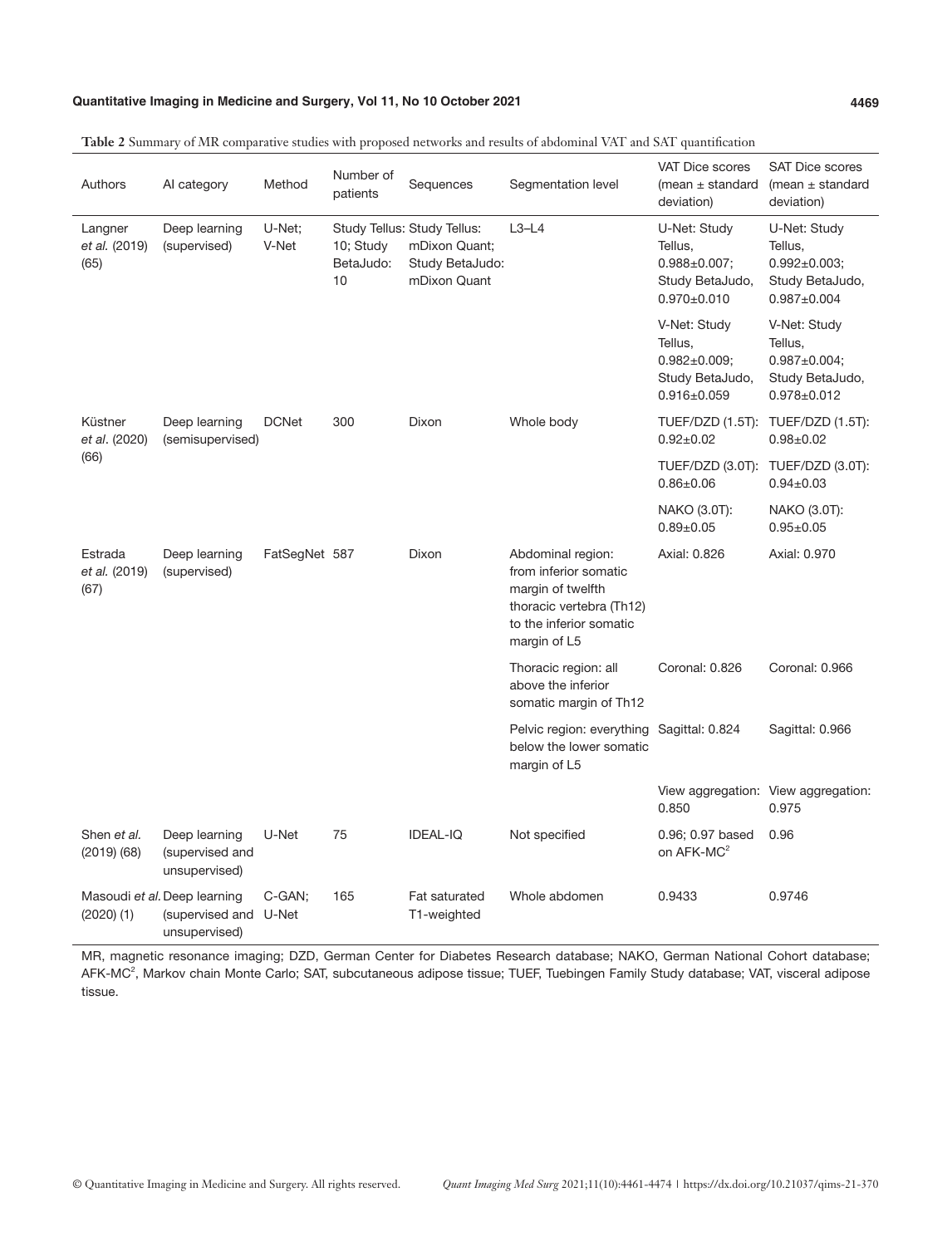### **Quantitative Imaging in Medicine and Surgery, Vol 11, No 10 October 2021 4469**

| Authors                          | AI category                                                            | Method          | Number of<br>patients        | Sequences                                                                       | Segmentation level                                                                                                                     | <b>VAT Dice scores</b><br>(mean $\pm$ standard<br>deviation)                           | <b>SAT Dice scores</b><br>(mean $\pm$ standard<br>deviation)                           |
|----------------------------------|------------------------------------------------------------------------|-----------------|------------------------------|---------------------------------------------------------------------------------|----------------------------------------------------------------------------------------------------------------------------------------|----------------------------------------------------------------------------------------|----------------------------------------------------------------------------------------|
| Langner<br>et al. (2019)<br>(65) | Deep learning<br>(supervised)                                          | U-Net:<br>V-Net | 10; Study<br>BetaJudo:<br>10 | Study Tellus: Study Tellus:<br>mDixon Quant;<br>Study BetaJudo:<br>mDixon Quant | $L3-L4$                                                                                                                                | U-Net: Study<br>Tellus,<br>$0.988 \pm 0.007;$<br>Study BetaJudo,<br>$0.970 \pm 0.010$  | U-Net: Study<br>Tellus,<br>$0.992 \pm 0.003$ ;<br>Study BetaJudo,<br>$0.987 + 0.004$   |
|                                  |                                                                        |                 |                              |                                                                                 |                                                                                                                                        | V-Net: Study<br>Tellus,<br>$0.982 \pm 0.009$ ;<br>Study BetaJudo,<br>$0.916 \pm 0.059$ | V-Net: Study<br>Tellus,<br>$0.987 \pm 0.004$ ;<br>Study BetaJudo,<br>$0.978 \pm 0.012$ |
| Küstner<br>et al. (2020)<br>(66) | Deep learning<br>(semisupervised)                                      | <b>DCNet</b>    | 300                          | Dixon                                                                           | Whole body                                                                                                                             | $0.92 \pm 0.02$                                                                        | TUEF/DZD (1.5T): TUEF/DZD (1.5T):<br>$0.98 + 0.02$                                     |
|                                  |                                                                        |                 |                              |                                                                                 |                                                                                                                                        | $0.86 \pm 0.06$                                                                        | TUEF/DZD (3.0T): TUEF/DZD (3.0T):<br>$0.94 \pm 0.03$                                   |
|                                  |                                                                        |                 |                              |                                                                                 |                                                                                                                                        | NAKO (3.0T):<br>$0.89 + 0.05$                                                          | NAKO (3.0T):<br>$0.95 + 0.05$                                                          |
| Estrada<br>et al. (2019)<br>(67) | Deep learning<br>(supervised)                                          | FatSegNet 587   |                              | Dixon                                                                           | Abdominal region:<br>from inferior somatic<br>margin of twelfth<br>thoracic vertebra (Th12)<br>to the inferior somatic<br>margin of L5 | Axial: 0.826                                                                           | Axial: 0.970                                                                           |
|                                  |                                                                        |                 |                              |                                                                                 | Thoracic region: all<br>above the inferior<br>somatic margin of Th12                                                                   | Coronal: 0.826                                                                         | Coronal: 0.966                                                                         |
|                                  |                                                                        |                 |                              |                                                                                 | Pelvic region: everything Sagittal: 0.824<br>below the lower somatic<br>margin of L5                                                   |                                                                                        | Sagittal: 0.966                                                                        |
|                                  |                                                                        |                 |                              |                                                                                 |                                                                                                                                        | 0.850                                                                                  | View aggregation: View aggregation:<br>0.975                                           |
| Shen et al.<br>$(2019)$ $(68)$   | Deep learning<br>(supervised and<br>unsupervised)                      | U-Net           | 75                           | <b>IDEAL-IQ</b>                                                                 | Not specified                                                                                                                          | 0.96; 0.97 based<br>on AFK-MC <sup>2</sup>                                             | 0.96                                                                                   |
| $(2020)$ $(1)$                   | Masoudi et al. Deep learning<br>(supervised and U-Net<br>unsupervised) | C-GAN;          | 165                          | Fat saturated<br>T1-weighted                                                    | Whole abdomen                                                                                                                          | 0.9433                                                                                 | 0.9746                                                                                 |

**Table 2** Summary of MR comparative studies with proposed networks and results of abdominal VAT and SAT quantification

MR, magnetic resonance imaging; DZD, German Center for Diabetes Research database; NAKO, German National Cohort database; AFK-MC<sup>2</sup>, Markov chain Monte Carlo; SAT, subcutaneous adipose tissue; TUEF, Tuebingen Family Study database; VAT, visceral adipose tissue.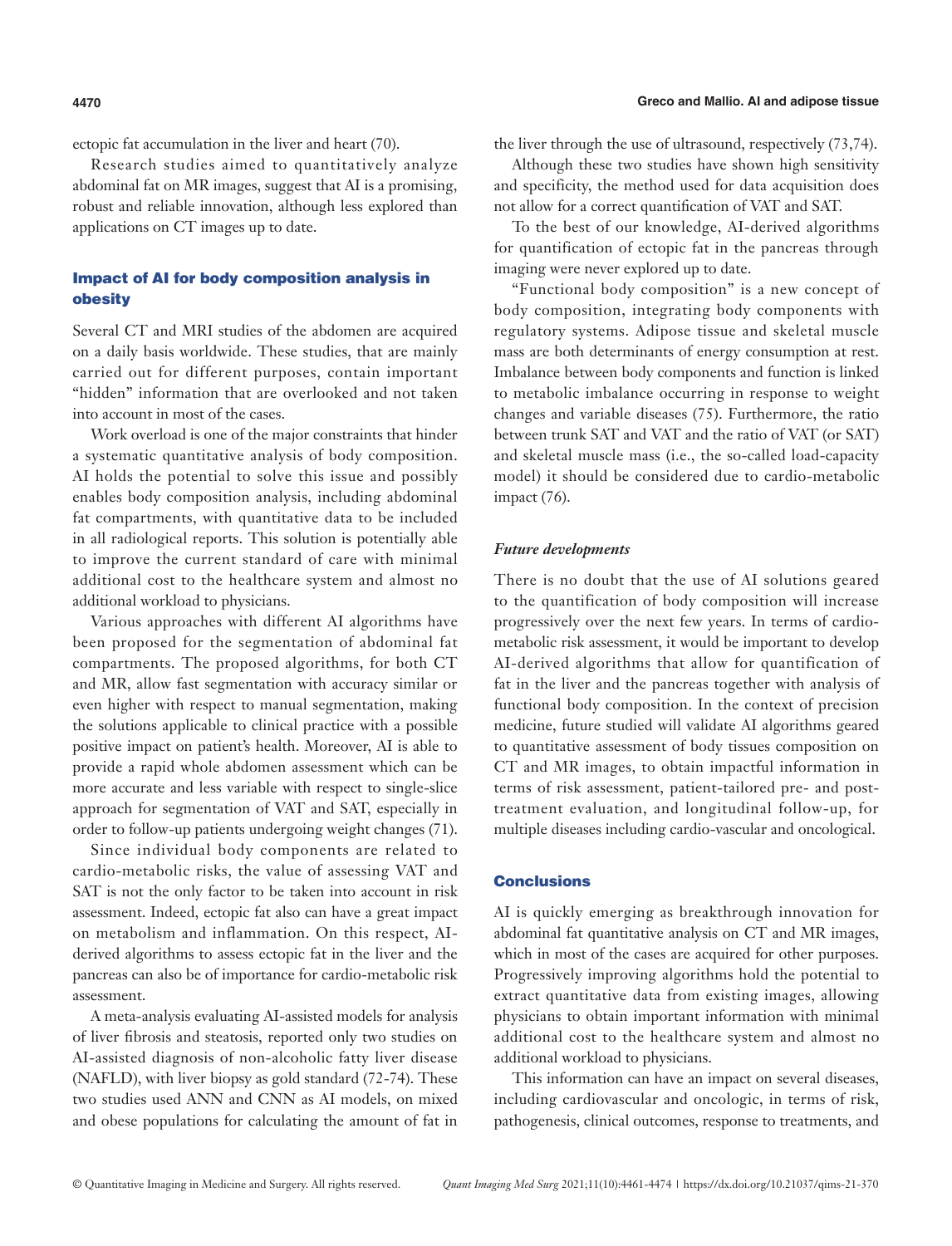ectopic fat accumulation in the liver and heart (70).

Research studies aimed to quantitatively analyze abdominal fat on MR images, suggest that AI is a promising, robust and reliable innovation, although less explored than applications on CT images up to date.

## Impact of AI for body composition analysis in obesity

Several CT and MRI studies of the abdomen are acquired on a daily basis worldwide. These studies, that are mainly carried out for different purposes, contain important "hidden" information that are overlooked and not taken into account in most of the cases.

Work overload is one of the major constraints that hinder a systematic quantitative analysis of body composition. AI holds the potential to solve this issue and possibly enables body composition analysis, including abdominal fat compartments, with quantitative data to be included in all radiological reports. This solution is potentially able to improve the current standard of care with minimal additional cost to the healthcare system and almost no additional workload to physicians.

Various approaches with different AI algorithms have been proposed for the segmentation of abdominal fat compartments. The proposed algorithms, for both CT and MR, allow fast segmentation with accuracy similar or even higher with respect to manual segmentation, making the solutions applicable to clinical practice with a possible positive impact on patient's health. Moreover, AI is able to provide a rapid whole abdomen assessment which can be more accurate and less variable with respect to single-slice approach for segmentation of VAT and SAT, especially in order to follow-up patients undergoing weight changes (71).

Since individual body components are related to cardio-metabolic risks, the value of assessing VAT and SAT is not the only factor to be taken into account in risk assessment. Indeed, ectopic fat also can have a great impact on metabolism and inflammation. On this respect, AIderived algorithms to assess ectopic fat in the liver and the pancreas can also be of importance for cardio-metabolic risk assessment.

A meta-analysis evaluating AI-assisted models for analysis of liver fibrosis and steatosis, reported only two studies on AI-assisted diagnosis of non-alcoholic fatty liver disease (NAFLD), with liver biopsy as gold standard (72-74). These two studies used ANN and CNN as AI models, on mixed and obese populations for calculating the amount of fat in the liver through the use of ultrasound, respectively (73,74).

Although these two studies have shown high sensitivity and specificity, the method used for data acquisition does not allow for a correct quantification of VAT and SAT.

To the best of our knowledge, AI-derived algorithms for quantification of ectopic fat in the pancreas through imaging were never explored up to date.

"Functional body composition" is a new concept of body composition, integrating body components with regulatory systems. Adipose tissue and skeletal muscle mass are both determinants of energy consumption at rest. Imbalance between body components and function is linked to metabolic imbalance occurring in response to weight changes and variable diseases (75). Furthermore, the ratio between trunk SAT and VAT and the ratio of VAT (or SAT) and skeletal muscle mass (i.e., the so-called load-capacity model) it should be considered due to cardio-metabolic impact (76).

#### *Future developments*

There is no doubt that the use of AI solutions geared to the quantification of body composition will increase progressively over the next few years. In terms of cardiometabolic risk assessment, it would be important to develop AI-derived algorithms that allow for quantification of fat in the liver and the pancreas together with analysis of functional body composition. In the context of precision medicine, future studied will validate AI algorithms geared to quantitative assessment of body tissues composition on CT and MR images, to obtain impactful information in terms of risk assessment, patient-tailored pre- and posttreatment evaluation, and longitudinal follow-up, for multiple diseases including cardio-vascular and oncological.

### **Conclusions**

AI is quickly emerging as breakthrough innovation for abdominal fat quantitative analysis on CT and MR images, which in most of the cases are acquired for other purposes. Progressively improving algorithms hold the potential to extract quantitative data from existing images, allowing physicians to obtain important information with minimal additional cost to the healthcare system and almost no additional workload to physicians.

This information can have an impact on several diseases, including cardiovascular and oncologic, in terms of risk, pathogenesis, clinical outcomes, response to treatments, and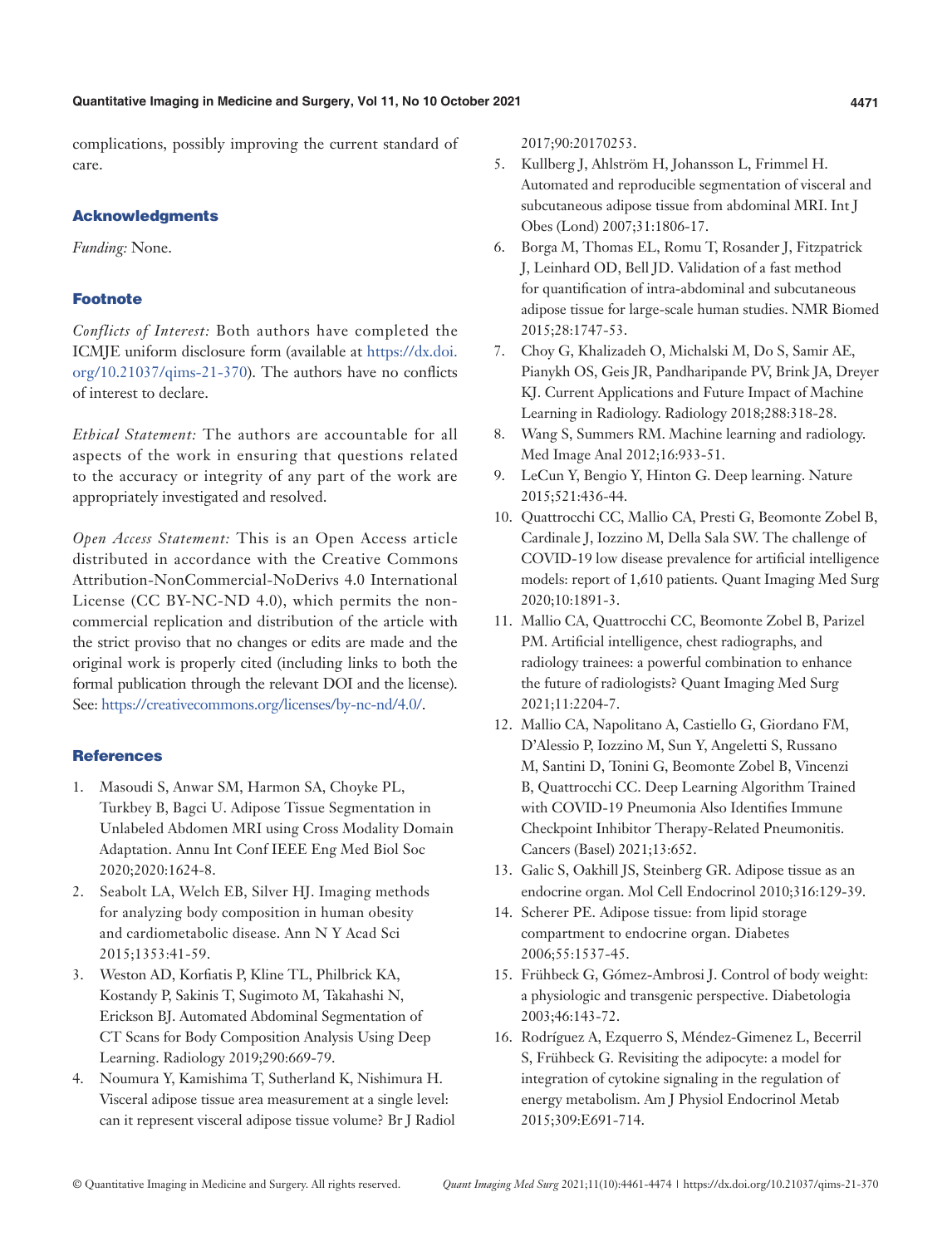#### **Quantitative Imaging in Medicine and Surgery, Vol 11, No 10 October 2021 4471**

complications, possibly improving the current standard of care.

#### Acknowledgments

*Funding:* None.

### **Footnote**

*Conflicts of Interest:* Both authors have completed the ICMJE uniform disclosure form (available at [https://dx.doi.](https://dx.doi.org/10.21037/qims-21-370) [org/10.21037/qims-21-370](https://dx.doi.org/10.21037/qims-21-370)). The authors have no conflicts of interest to declare.

*Ethical Statement:* The authors are accountable for all aspects of the work in ensuring that questions related to the accuracy or integrity of any part of the work are appropriately investigated and resolved.

*Open Access Statement:* This is an Open Access article distributed in accordance with the Creative Commons Attribution-NonCommercial-NoDerivs 4.0 International License (CC BY-NC-ND 4.0), which permits the noncommercial replication and distribution of the article with the strict proviso that no changes or edits are made and the original work is properly cited (including links to both the formal publication through the relevant DOI and the license). See: [https://creativecommons.org/licenses/by-nc-nd/4.0/.](https://creativecommons.org/licenses/by-nc-nd/4.0/)

#### **References**

- 1. Masoudi S, Anwar SM, Harmon SA, Choyke PL, Turkbey B, Bagci U. Adipose Tissue Segmentation in Unlabeled Abdomen MRI using Cross Modality Domain Adaptation. Annu Int Conf IEEE Eng Med Biol Soc 2020;2020:1624-8.
- 2. Seabolt LA, Welch EB, Silver HJ. Imaging methods for analyzing body composition in human obesity and cardiometabolic disease. Ann N Y Acad Sci 2015;1353:41-59.
- 3. Weston AD, Korfiatis P, Kline TL, Philbrick KA, Kostandy P, Sakinis T, Sugimoto M, Takahashi N, Erickson BJ. Automated Abdominal Segmentation of CT Scans for Body Composition Analysis Using Deep Learning. Radiology 2019;290:669-79.
- 4. Noumura Y, Kamishima T, Sutherland K, Nishimura H. Visceral adipose tissue area measurement at a single level: can it represent visceral adipose tissue volume? Br J Radiol

2017;90:20170253.

- 5. Kullberg J, Ahlström H, Johansson L, Frimmel H. Automated and reproducible segmentation of visceral and subcutaneous adipose tissue from abdominal MRI. Int J Obes (Lond) 2007;31:1806-17.
- 6. Borga M, Thomas EL, Romu T, Rosander J, Fitzpatrick J, Leinhard OD, Bell JD. Validation of a fast method for quantification of intra-abdominal and subcutaneous adipose tissue for large-scale human studies. NMR Biomed 2015;28:1747-53.
- 7. Choy G, Khalizadeh O, Michalski M, Do S, Samir AE, Pianykh OS, Geis JR, Pandharipande PV, Brink JA, Dreyer KJ. Current Applications and Future Impact of Machine Learning in Radiology. Radiology 2018;288:318-28.
- 8. Wang S, Summers RM. Machine learning and radiology. Med Image Anal 2012;16:933-51.
- 9. LeCun Y, Bengio Y, Hinton G. Deep learning. Nature 2015;521:436-44.
- 10. Quattrocchi CC, Mallio CA, Presti G, Beomonte Zobel B, Cardinale J, Iozzino M, Della Sala SW. The challenge of COVID-19 low disease prevalence for artificial intelligence models: report of 1,610 patients. Quant Imaging Med Surg 2020;10:1891-3.
- 11. Mallio CA, Quattrocchi CC, Beomonte Zobel B, Parizel PM. Artificial intelligence, chest radiographs, and radiology trainees: a powerful combination to enhance the future of radiologists? Quant Imaging Med Surg 2021;11:2204-7.
- 12. Mallio CA, Napolitano A, Castiello G, Giordano FM, D'Alessio P, Iozzino M, Sun Y, Angeletti S, Russano M, Santini D, Tonini G, Beomonte Zobel B, Vincenzi B, Quattrocchi CC. Deep Learning Algorithm Trained with COVID-19 Pneumonia Also Identifies Immune Checkpoint Inhibitor Therapy-Related Pneumonitis. Cancers (Basel) 2021;13:652.
- 13. Galic S, Oakhill JS, Steinberg GR. Adipose tissue as an endocrine organ. Mol Cell Endocrinol 2010;316:129-39.
- 14. Scherer PE. Adipose tissue: from lipid storage compartment to endocrine organ. Diabetes 2006;55:1537-45.
- 15. Frühbeck G, Gómez-Ambrosi J. Control of body weight: a physiologic and transgenic perspective. Diabetologia 2003;46:143-72.
- 16. Rodríguez A, Ezquerro S, Méndez-Gimenez L, Becerril S, Frühbeck G. Revisiting the adipocyte: a model for integration of cytokine signaling in the regulation of energy metabolism. Am J Physiol Endocrinol Metab 2015;309:E691-714.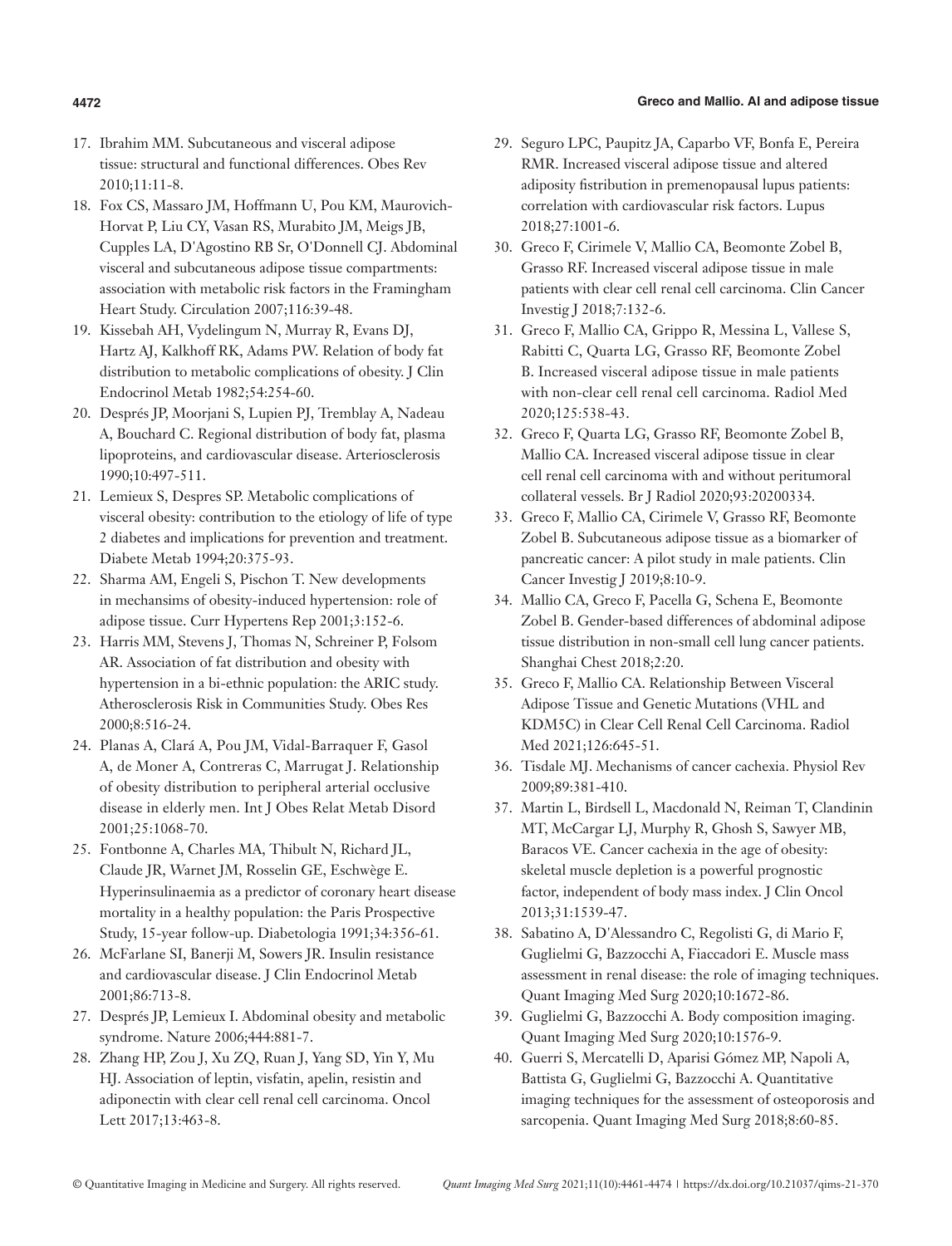#### **4472 Greco and Mallio. AI and adipose tissue**

- 17. Ibrahim MM. Subcutaneous and visceral adipose tissue: structural and functional differences. Obes Rev 2010;11:11-8.
- 18. Fox CS, Massaro JM, Hoffmann U, Pou KM, Maurovich-Horvat P, Liu CY, Vasan RS, Murabito JM, Meigs JB, Cupples LA, D'Agostino RB Sr, O'Donnell CJ. Abdominal visceral and subcutaneous adipose tissue compartments: association with metabolic risk factors in the Framingham Heart Study. Circulation 2007;116:39-48.
- 19. Kissebah AH, Vydelingum N, Murray R, Evans DJ, Hartz AJ, Kalkhoff RK, Adams PW. Relation of body fat distribution to metabolic complications of obesity. J Clin Endocrinol Metab 1982;54:254-60.
- 20. Després JP, Moorjani S, Lupien PJ, Tremblay A, Nadeau A, Bouchard C. Regional distribution of body fat, plasma lipoproteins, and cardiovascular disease. Arteriosclerosis 1990;10:497-511.
- 21. Lemieux S, Despres SP. Metabolic complications of visceral obesity: contribution to the etiology of life of type 2 diabetes and implications for prevention and treatment. Diabete Metab 1994;20:375-93.
- 22. Sharma AM, Engeli S, Pischon T. New developments in mechansims of obesity-induced hypertension: role of adipose tissue. Curr Hypertens Rep 2001;3:152-6.
- 23. Harris MM, Stevens J, Thomas N, Schreiner P, Folsom AR. Association of fat distribution and obesity with hypertension in a bi-ethnic population: the ARIC study. Atherosclerosis Risk in Communities Study. Obes Res 2000;8:516-24.
- 24. Planas A, Clará A, Pou JM, Vidal-Barraquer F, Gasol A, de Moner A, Contreras C, Marrugat J. Relationship of obesity distribution to peripheral arterial occlusive disease in elderly men. Int J Obes Relat Metab Disord 2001;25:1068-70.
- 25. Fontbonne A, Charles MA, Thibult N, Richard JL, Claude JR, Warnet JM, Rosselin GE, Eschwège E. Hyperinsulinaemia as a predictor of coronary heart disease mortality in a healthy population: the Paris Prospective Study, 15-year follow-up. Diabetologia 1991;34:356-61.
- 26. McFarlane SI, Banerji M, Sowers JR. Insulin resistance and cardiovascular disease. J Clin Endocrinol Metab 2001;86:713-8.
- 27. Després JP, Lemieux I. Abdominal obesity and metabolic syndrome. Nature 2006;444:881-7.
- 28. Zhang HP, Zou J, Xu ZQ, Ruan J, Yang SD, Yin Y, Mu HJ. Association of leptin, visfatin, apelin, resistin and adiponectin with clear cell renal cell carcinoma. Oncol Lett 2017;13:463-8.
- 29. Seguro LPC, Paupitz JA, Caparbo VF, Bonfa E, Pereira RMR. Increased visceral adipose tissue and altered adiposity fistribution in premenopausal lupus patients: correlation with cardiovascular risk factors. Lupus 2018;27:1001-6.
- 30. Greco F, Cirimele V, Mallio CA, Beomonte Zobel B, Grasso RF. Increased visceral adipose tissue in male patients with clear cell renal cell carcinoma. Clin Cancer Investig J 2018;7:132-6.
- 31. Greco F, Mallio CA, Grippo R, Messina L, Vallese S, Rabitti C, Quarta LG, Grasso RF, Beomonte Zobel B. Increased visceral adipose tissue in male patients with non-clear cell renal cell carcinoma. Radiol Med 2020;125:538-43.
- 32. Greco F, Quarta LG, Grasso RF, Beomonte Zobel B, Mallio CA. Increased visceral adipose tissue in clear cell renal cell carcinoma with and without peritumoral collateral vessels. Br J Radiol 2020;93:20200334.
- 33. Greco F, Mallio CA, Cirimele V, Grasso RF, Beomonte Zobel B. Subcutaneous adipose tissue as a biomarker of pancreatic cancer: A pilot study in male patients. Clin Cancer Investig J 2019;8:10-9.
- 34. Mallio CA, Greco F, Pacella G, Schena E, Beomonte Zobel B. Gender-based differences of abdominal adipose tissue distribution in non-small cell lung cancer patients. Shanghai Chest 2018;2:20.
- 35. Greco F, Mallio CA. Relationship Between Visceral Adipose Tissue and Genetic Mutations (VHL and KDM5C) in Clear Cell Renal Cell Carcinoma. Radiol Med 2021;126:645-51.
- 36. Tisdale MJ. Mechanisms of cancer cachexia. Physiol Rev 2009;89:381-410.
- 37. Martin L, Birdsell L, Macdonald N, Reiman T, Clandinin MT, McCargar LJ, Murphy R, Ghosh S, Sawyer MB, Baracos VE. Cancer cachexia in the age of obesity: skeletal muscle depletion is a powerful prognostic factor, independent of body mass index. J Clin Oncol 2013;31:1539-47.
- 38. Sabatino A, D'Alessandro C, Regolisti G, di Mario F, Guglielmi G, Bazzocchi A, Fiaccadori E. Muscle mass assessment in renal disease: the role of imaging techniques. Quant Imaging Med Surg 2020;10:1672-86.
- 39. Guglielmi G, Bazzocchi A. Body composition imaging. Quant Imaging Med Surg 2020;10:1576-9.
- 40. Guerri S, Mercatelli D, Aparisi Gómez MP, Napoli A, Battista G, Guglielmi G, Bazzocchi A. Quantitative imaging techniques for the assessment of osteoporosis and sarcopenia. Quant Imaging Med Surg 2018;8:60-85.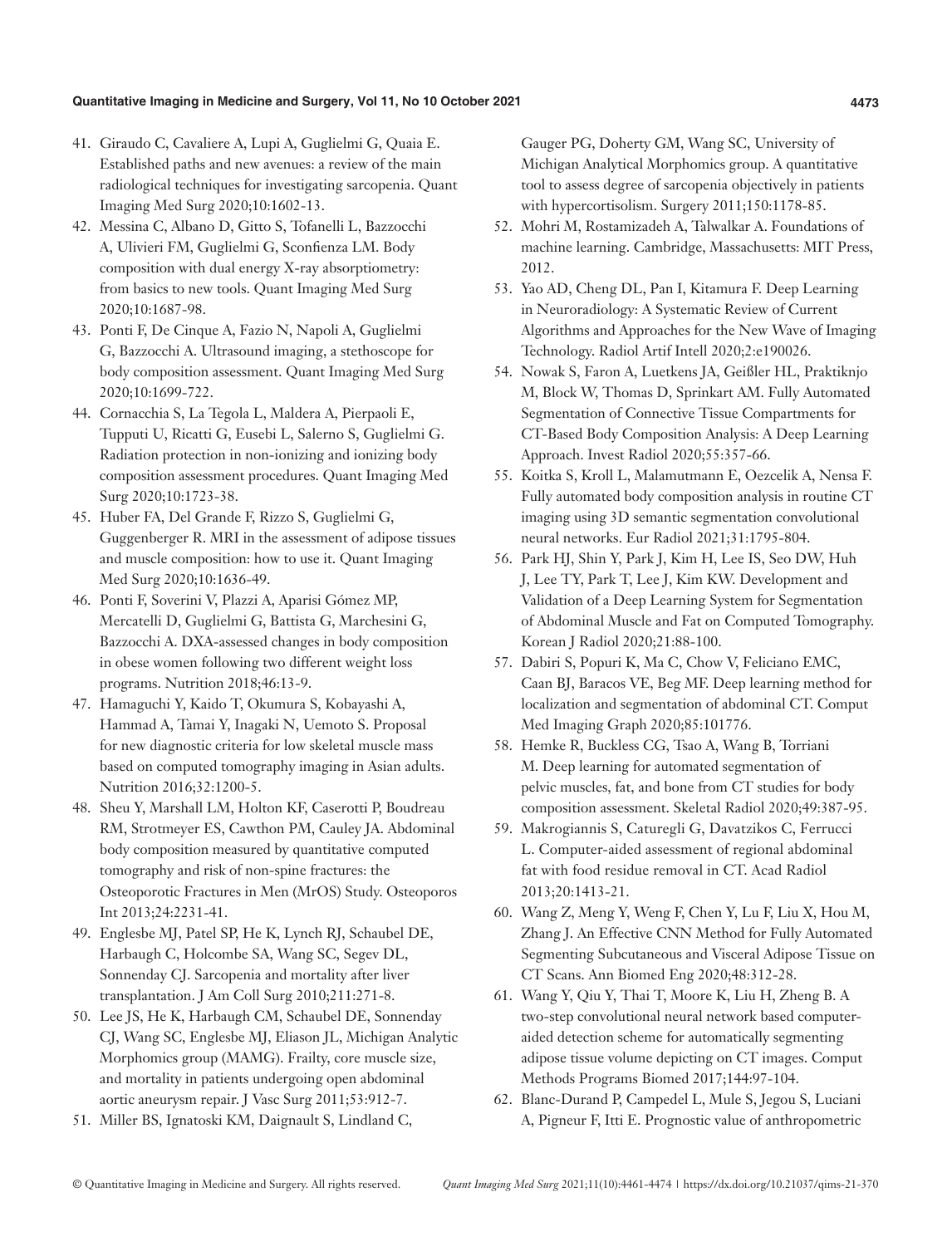#### **Quantitative Imaging in Medicine and Surgery, Vol 11, No 10 October 2021 4473**

- 41. Giraudo C, Cavaliere A, Lupi A, Guglielmi G, Quaia E. Established paths and new avenues: a review of the main radiological techniques for investigating sarcopenia. Quant Imaging Med Surg 2020;10:1602-13.
- 42. Messina C, Albano D, Gitto S, Tofanelli L, Bazzocchi A, Ulivieri FM, Guglielmi G, Sconfienza LM. Body composition with dual energy X-ray absorptiometry: from basics to new tools. Quant Imaging Med Surg 2020;10:1687-98.
- 43. Ponti F, De Cinque A, Fazio N, Napoli A, Guglielmi G, Bazzocchi A. Ultrasound imaging, a stethoscope for body composition assessment. Quant Imaging Med Surg 2020;10:1699-722.
- 44. Cornacchia S, La Tegola L, Maldera A, Pierpaoli E, Tupputi U, Ricatti G, Eusebi L, Salerno S, Guglielmi G. Radiation protection in non-ionizing and ionizing body composition assessment procedures. Quant Imaging Med Surg 2020;10:1723-38.
- 45. Huber FA, Del Grande F, Rizzo S, Guglielmi G, Guggenberger R. MRI in the assessment of adipose tissues and muscle composition: how to use it. Quant Imaging Med Surg 2020;10:1636-49.
- 46. Ponti F, Soverini V, Plazzi A, Aparisi Gómez MP, Mercatelli D, Guglielmi G, Battista G, Marchesini G, Bazzocchi A. DXA-assessed changes in body composition in obese women following two different weight loss programs. Nutrition 2018;46:13-9.
- 47. Hamaguchi Y, Kaido T, Okumura S, Kobayashi A, Hammad A, Tamai Y, Inagaki N, Uemoto S. Proposal for new diagnostic criteria for low skeletal muscle mass based on computed tomography imaging in Asian adults. Nutrition 2016;32:1200-5.
- 48. Sheu Y, Marshall LM, Holton KF, Caserotti P, Boudreau RM, Strotmeyer ES, Cawthon PM, Cauley JA. Abdominal body composition measured by quantitative computed tomography and risk of non-spine fractures: the Osteoporotic Fractures in Men (MrOS) Study. Osteoporos Int 2013;24:2231-41.
- 49. Englesbe MJ, Patel SP, He K, Lynch RJ, Schaubel DE, Harbaugh C, Holcombe SA, Wang SC, Segev DL, Sonnenday CJ. Sarcopenia and mortality after liver transplantation. J Am Coll Surg 2010;211:271-8.
- 50. Lee JS, He K, Harbaugh CM, Schaubel DE, Sonnenday CJ, Wang SC, Englesbe MJ, Eliason JL, Michigan Analytic Morphomics group (MAMG). Frailty, core muscle size, and mortality in patients undergoing open abdominal aortic aneurysm repair. J Vasc Surg 2011;53:912-7.
- 51. Miller BS, Ignatoski KM, Daignault S, Lindland C,

Gauger PG, Doherty GM, Wang SC, University of Michigan Analytical Morphomics group. A quantitative tool to assess degree of sarcopenia objectively in patients with hypercortisolism. Surgery 2011;150:1178-85.

- 52. Mohri M, Rostamizadeh A, Talwalkar A. Foundations of machine learning. Cambridge, Massachusetts: MIT Press, 2012.
- 53. Yao AD, Cheng DL, Pan I, Kitamura F. Deep Learning in Neuroradiology: A Systematic Review of Current Algorithms and Approaches for the New Wave of Imaging Technology. Radiol Artif Intell 2020;2:e190026.
- 54. Nowak S, Faron A, Luetkens JA, Geißler HL, Praktiknjo M, Block W, Thomas D, Sprinkart AM. Fully Automated Segmentation of Connective Tissue Compartments for CT-Based Body Composition Analysis: A Deep Learning Approach. Invest Radiol 2020;55:357-66.
- 55. Koitka S, Kroll L, Malamutmann E, Oezcelik A, Nensa F. Fully automated body composition analysis in routine CT imaging using 3D semantic segmentation convolutional neural networks. Eur Radiol 2021;31:1795-804.
- 56. Park HJ, Shin Y, Park J, Kim H, Lee IS, Seo DW, Huh J, Lee TY, Park T, Lee J, Kim KW. Development and Validation of a Deep Learning System for Segmentation of Abdominal Muscle and Fat on Computed Tomography. Korean J Radiol 2020;21:88-100.
- 57. Dabiri S, Popuri K, Ma C, Chow V, Feliciano EMC, Caan BJ, Baracos VE, Beg MF. Deep learning method for localization and segmentation of abdominal CT. Comput Med Imaging Graph 2020;85:101776.
- 58. Hemke R, Buckless CG, Tsao A, Wang B, Torriani M. Deep learning for automated segmentation of pelvic muscles, fat, and bone from CT studies for body composition assessment. Skeletal Radiol 2020;49:387-95.
- 59. Makrogiannis S, Caturegli G, Davatzikos C, Ferrucci L. Computer-aided assessment of regional abdominal fat with food residue removal in CT. Acad Radiol 2013;20:1413-21.
- 60. Wang Z, Meng Y, Weng F, Chen Y, Lu F, Liu X, Hou M, Zhang J. An Effective CNN Method for Fully Automated Segmenting Subcutaneous and Visceral Adipose Tissue on CT Scans. Ann Biomed Eng 2020;48:312-28.
- 61. Wang Y, Qiu Y, Thai T, Moore K, Liu H, Zheng B. A two-step convolutional neural network based computeraided detection scheme for automatically segmenting adipose tissue volume depicting on CT images. Comput Methods Programs Biomed 2017;144:97-104.
- 62. Blanc-Durand P, Campedel L, Mule S, Jegou S, Luciani A, Pigneur F, Itti E. Prognostic value of anthropometric